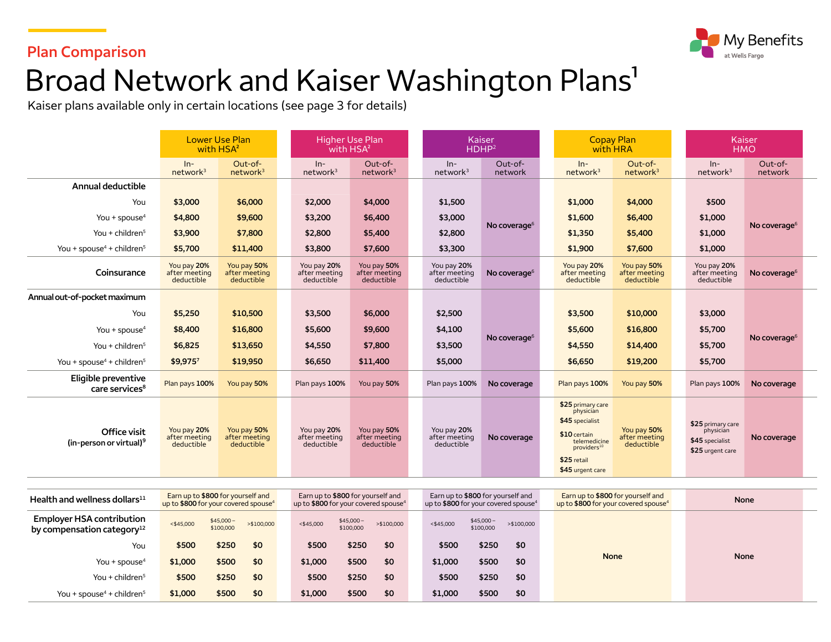

### **Plan Comparison**

# Broad Network and Kaiser Washington Plans<sup>1</sup>

Kaiser plans available only in certain locations (see page 3 for details)

|                                                     | <b>Lower Use Plan</b><br>with HSA <sup>2</sup>                                        |                                            | <b>Higher Use Plan</b><br>with HSA <sup>2</sup> |                                                                                       |  | <b>Kaiser</b><br>HDHP <sup>2</sup>                                                    |                          |  | <b>Copay Plan</b><br>with HRA                                                                                                                    |                                            |  | Kaiser<br><b>HMO</b>                                                  |                    |  |
|-----------------------------------------------------|---------------------------------------------------------------------------------------|--------------------------------------------|-------------------------------------------------|---------------------------------------------------------------------------------------|--|---------------------------------------------------------------------------------------|--------------------------|--|--------------------------------------------------------------------------------------------------------------------------------------------------|--------------------------------------------|--|-----------------------------------------------------------------------|--------------------|--|
|                                                     | $ln-$<br>network <sup>3</sup>                                                         | Out-of-<br>network <sup>3</sup>            | $In-$<br>network <sup>3</sup>                   | Out-of-<br>network <sup>3</sup>                                                       |  | $In-$<br>network <sup>3</sup>                                                         | Out-of-<br>network       |  | $In-$<br>network <sup>3</sup>                                                                                                                    | Out-of-<br>network <sup>3</sup>            |  | $In-$<br>network <sup>3</sup>                                         | Out-of-<br>network |  |
| Annual deductible                                   |                                                                                       |                                            |                                                 |                                                                                       |  |                                                                                       |                          |  |                                                                                                                                                  |                                            |  |                                                                       |                    |  |
| You                                                 | \$3,000                                                                               | \$6,000                                    | \$2,000                                         | \$4,000                                                                               |  | \$1,500                                                                               | No coverage <sup>6</sup> |  | \$1,000                                                                                                                                          | \$4,000                                    |  | \$500                                                                 |                    |  |
| You + spouse $4$                                    | \$4,800                                                                               | \$9,600                                    | \$3,200                                         | \$6,400                                                                               |  | \$3,000                                                                               |                          |  | \$1,600                                                                                                                                          | \$6,400                                    |  | \$1,000                                                               | No coverage $6$    |  |
| You + children $5$                                  | \$3,900                                                                               | \$7,800                                    | \$2,800                                         | \$5,400                                                                               |  | \$2,800                                                                               |                          |  | \$1,350                                                                                                                                          | \$5,400                                    |  | \$1,000                                                               |                    |  |
| You + spouse <sup>4</sup> + children <sup>5</sup>   | \$5,700                                                                               | \$11,400                                   | \$3,800                                         | \$7,600                                                                               |  | \$3,300                                                                               |                          |  | \$1,900                                                                                                                                          | \$7,600                                    |  | \$1,000                                                               |                    |  |
| Coinsurance                                         | You pay 20%<br>after meeting<br>deductible                                            | You pay 50%<br>after meeting<br>deductible | You pay 20%<br>after meeting<br>deductible      | You pay 50%<br>after meeting<br>deductible                                            |  | You pay 20%<br>after meeting<br>deductible                                            | No coverage <sup>6</sup> |  | You pay 20%<br>after meeting<br>deductible                                                                                                       | You pay 50%<br>after meeting<br>deductible |  | You pay 20%<br>after meeting<br>deductible                            | No coverage $6$    |  |
| Annual out-of-pocket maximum                        |                                                                                       |                                            |                                                 |                                                                                       |  |                                                                                       |                          |  |                                                                                                                                                  |                                            |  |                                                                       |                    |  |
| You                                                 | \$5,250                                                                               | \$10,500                                   | \$3,500                                         | \$6,000                                                                               |  | \$2,500                                                                               |                          |  | \$3,500                                                                                                                                          | \$10,000                                   |  | \$3,000                                                               |                    |  |
| You + spouse $4$                                    | \$8,400                                                                               | \$16,800                                   | \$5,600                                         | \$9,600                                                                               |  | \$4,100                                                                               | No coverage <sup>6</sup> |  | \$5,600                                                                                                                                          | \$16,800                                   |  | \$5,700                                                               |                    |  |
| You + children $5$                                  | \$6,825                                                                               | \$13,650                                   | \$4,550                                         | \$7,800                                                                               |  | \$3,500                                                                               |                          |  | \$4,550                                                                                                                                          | \$14,400                                   |  | \$5,700                                                               | No coverage $6$    |  |
| You + spouse <sup>4</sup> + children <sup>5</sup>   | \$9,9757                                                                              | \$19,950                                   | \$6,650                                         | \$11,400                                                                              |  | \$5,000                                                                               |                          |  | \$6,650                                                                                                                                          | \$19,200                                   |  | \$5,700                                                               |                    |  |
| Eligible preventive<br>care services <sup>8</sup>   | Plan pays 100%                                                                        | You pay 50%                                | Plan pays 100%                                  | You pay 50%                                                                           |  | Plan pays 100%                                                                        | No coverage              |  | Plan pays 100%                                                                                                                                   | You pay 50%                                |  | Plan pays 100%                                                        | No coverage        |  |
| Office visit<br>(in-person or virtual) <sup>9</sup> | You pay 20%<br>after meeting<br>deductible                                            | You pay 50%<br>after meeting<br>deductible | You pay 20%<br>after meeting<br>deductible      | You pay 50%<br>after meeting<br>deductible                                            |  | You pay 20%<br>after meeting<br>deductible                                            | No coverage              |  | \$25 primary care<br>physician<br>\$45 specialist<br>$$10$ certain<br>telemedicine<br>providers <sup>10</sup><br>\$25 retail<br>\$45 urgent care | You pay 50%<br>after meeting<br>deductible |  | \$25 primary care<br>physician<br>\$45 specialist<br>\$25 urgent care | No coverage        |  |
|                                                     |                                                                                       |                                            |                                                 |                                                                                       |  |                                                                                       |                          |  |                                                                                                                                                  |                                            |  |                                                                       |                    |  |
| Health and wellness dollars $^{11}$                 | Earn up to \$800 for yourself and<br>up to \$800 for your covered spouse <sup>4</sup> |                                            |                                                 | Earn up to \$800 for yourself and<br>up to \$800 for your covered spouse <sup>4</sup> |  | Earn up to \$800 for yourself and<br>up to \$800 for your covered spouse <sup>4</sup> |                          |  | Earn up to \$800 for yourself and<br>up to \$800 for your covered spouse <sup>4</sup>                                                            |                                            |  | <b>None</b>                                                           |                    |  |

| Health and wellness dollars $11$                                           | Earn up to \$800 for yourself and<br>up to \$800 for your covered spouse <sup>4</sup> |                         |             | Earn up to <b>\$800</b> for yourself and<br>up to $$800$ for your covered spouse <sup>4</sup> |                         |             |  | Earn up to <b>\$800</b> for yourself and<br>up to $$800$ for your covered spouse <sup>4</sup> |                         |             |  | Earn up to \$800 for yourself and<br>up to \$800 for your covered spouse <sup>4</sup> | None |             |  |
|----------------------------------------------------------------------------|---------------------------------------------------------------------------------------|-------------------------|-------------|-----------------------------------------------------------------------------------------------|-------------------------|-------------|--|-----------------------------------------------------------------------------------------------|-------------------------|-------------|--|---------------------------------------------------------------------------------------|------|-------------|--|
| <b>Employer HSA contribution</b><br>by compensation category <sup>12</sup> | $<$ \$45,000                                                                          | $$45,000-$<br>\$100,000 | > \$100,000 | < \$45,000                                                                                    | $$45,000-$<br>\$100,000 | > \$100,000 |  | < \$45,000                                                                                    | $$45,000-$<br>\$100,000 | > \$100,000 |  |                                                                                       |      |             |  |
| You                                                                        | \$500                                                                                 | \$250                   | \$0         | \$500                                                                                         | \$250                   | \$0         |  | \$500                                                                                         | \$250                   | \$0         |  |                                                                                       |      |             |  |
| You + spouse <sup>4</sup>                                                  | \$1,000                                                                               | \$500                   | \$0         | \$1,000                                                                                       | \$500                   | \$0         |  | \$1,000                                                                                       | \$500                   | \$0         |  | <b>None</b>                                                                           |      | <b>None</b> |  |
| You + children $5$                                                         | \$500                                                                                 | \$250                   | \$0         | \$500                                                                                         | \$250                   | \$0         |  | \$500                                                                                         | \$250                   | \$0         |  |                                                                                       |      |             |  |
| You + spouse <sup>4</sup> + children <sup>5</sup>                          | \$1,000                                                                               | \$500                   | \$0         | \$1,000                                                                                       | \$500                   | \$0         |  | \$1,000                                                                                       | \$500                   | \$0         |  |                                                                                       |      |             |  |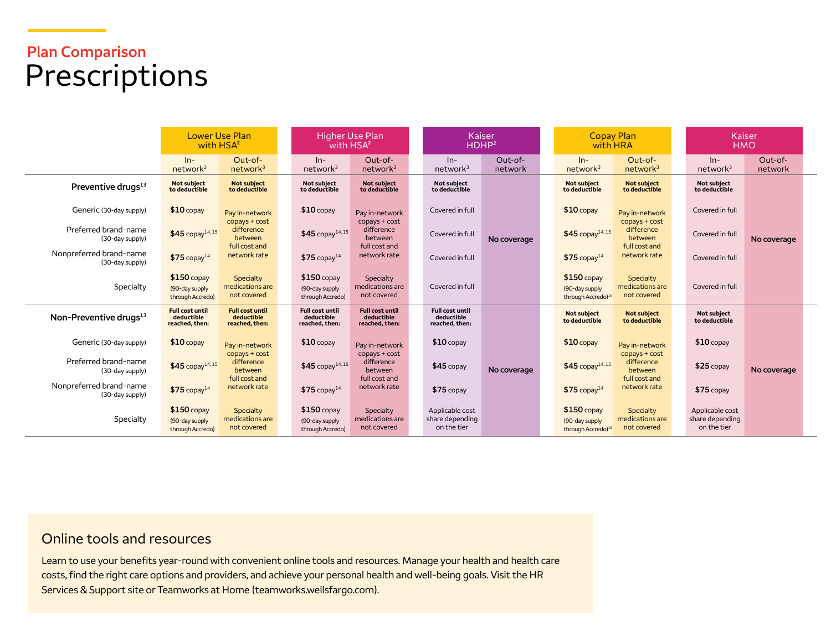# **Plan Comparison**  Prescriptions

|                                            | <b>Lower Use Plan</b><br>with HSA <sup>2</sup>         |                                                         | Higher Use Plan<br>with HSA <sup>2</sup>               |                                                          |  | <b>Kaiser</b><br>HDHP <sup>2</sup>                     |                      |                                                                  | <b>Copay Plan</b><br>with HRA                           |  | <b>Kaiser</b>                                     | <b>HMO</b>         |  |
|--------------------------------------------|--------------------------------------------------------|---------------------------------------------------------|--------------------------------------------------------|----------------------------------------------------------|--|--------------------------------------------------------|----------------------|------------------------------------------------------------------|---------------------------------------------------------|--|---------------------------------------------------|--------------------|--|
|                                            | $In-$<br>network <sup>3</sup>                          | $Out-of-$<br>network <sup>3</sup>                       | $In-$<br>network <sup>3</sup>                          | Out-of-<br>network <sup>3</sup>                          |  | $In-$<br>network <sup>3</sup>                          | $Out-of-$<br>network | $In-$<br>network <sup>3</sup>                                    | Out-of-<br>network <sup>3</sup>                         |  | $ln-$<br>network <sup>3</sup>                     | Out-of-<br>network |  |
| Preventive drugs <sup>13</sup>             | Not subject<br>to deductible                           | <b>Not subject</b><br>to deductible                     | <b>Not subject</b><br>to deductible                    | <b>Not subject</b><br>to deductible                      |  | <b>Not subiect</b><br>to deductible                    |                      | <b>Not subject</b><br>to deductible                              | <b>Not subject</b><br>to deductible                     |  | <b>Not subject</b><br>to deductible               |                    |  |
| Generic (30-day supply)                    | $$10$ copay                                            | Pay in-network                                          | $$10$ copay                                            | Pay in-network                                           |  | Covered in full                                        |                      | $$10$ copay                                                      | Pay in-network                                          |  | Covered in full                                   |                    |  |
| Preferred brand-name<br>(30-day supply)    | $$45$ copay <sup>14, 15</sup>                          | copays + cost<br>difference<br>between<br>full cost and | $$45$ copay <sup>14, 15</sup>                          | $copys + cost$<br>difference<br>between<br>full cost and |  | Covered in full                                        | No coverage          | $$45$ copay <sup>14,15</sup>                                     | copays + cost<br>difference<br>between<br>full cost and |  | Covered in full                                   | No coverage        |  |
| Nonpreferred brand-name<br>(30-day supply) | $$75$ copay <sup>14</sup>                              | network rate                                            | $$75$ copay <sup>14</sup>                              | network rate                                             |  | Covered in full                                        |                      | $$75$ copay <sup>14</sup>                                        | network rate                                            |  | Covered in full                                   |                    |  |
| Specialty                                  | $$150$ copay<br>(90-day supply<br>through Accredo)     | Specialty<br>medications are<br>not covered             | $$150$ copay<br>(90-day supply<br>through Accredo)     | Specialty<br>medications are<br>not covered              |  | Covered in full                                        |                      | $$150$ copay<br>(90-day supply<br>through Accredo) <sup>16</sup> | Specialty<br>medications are<br>not covered             |  | Covered in full                                   |                    |  |
| Non-Preventive drugs <sup>13</sup>         | <b>Full cost until</b><br>deductible<br>reached, then: | <b>Full cost until</b><br>deductible<br>reached, then:  | <b>Full cost until</b><br>deductible<br>reached, then: | <b>Full cost until</b><br>deductible<br>reached, then:   |  | <b>Full cost until</b><br>deductible<br>reached, then: |                      | <b>Not subject</b><br>to deductible                              | <b>Not subject</b><br>to deductible                     |  | <b>Not subiect</b><br>to deductible               |                    |  |
| Generic (30-day supply)                    | $$10$ copay                                            | Pay in-network                                          | $$10$ copay                                            | Pay in-network                                           |  | $$10$ copay                                            |                      | $$10$ copay                                                      | Pay in-network                                          |  | $$10$ copay                                       | No coverage        |  |
| Preferred brand-name<br>(30-day supply)    | $$45$ copay <sup>14, 15</sup>                          | copays + cost<br>difference<br>between                  | $$45$ copay <sup>14, 15</sup>                          | copays + cost<br>difference<br>between                   |  | $$45$ copay                                            | No coverage          | $$45$ copay <sup>14,15</sup>                                     | $copy + cost$<br>difference<br>between                  |  | $$25$ copay                                       |                    |  |
| Nonpreferred brand-name<br>(30-day supply) | $$75$ copay <sup>14</sup>                              | full cost and<br>network rate                           | $$75$ copay <sup>14</sup>                              | full cost and<br>network rate                            |  | $$75$ copay                                            |                      | $$75$ copay <sup>14</sup>                                        | full cost and<br>network rate                           |  | $$75$ copay                                       |                    |  |
| Specialty                                  | $$150$ copay<br>(90-day supply)<br>through Accredo)    | Specialty<br>medications are<br>not covered             | $$150$ copay<br>(90-day supply<br>through Accredo)     | Specialty<br>medications are<br>not covered              |  | Applicable cost<br>share depending<br>on the tier      |                      | $$150$ copay<br>(90-day supply<br>through Accredo) <sup>16</sup> | Specialty<br>medications are<br>not covered             |  | Applicable cost<br>share depending<br>on the tier |                    |  |

### Online tools and resources

Learn to use your benefits year-round with convenient online tools and resources. Manage your health and health care costs, find the right care options and providers, and achieve your personal health and well-being goals. Visit the HR Services & Support site or Teamworks at Home [\(teamworks.wellsfargo.com\)](http://teamworks.wellsfargo.com).